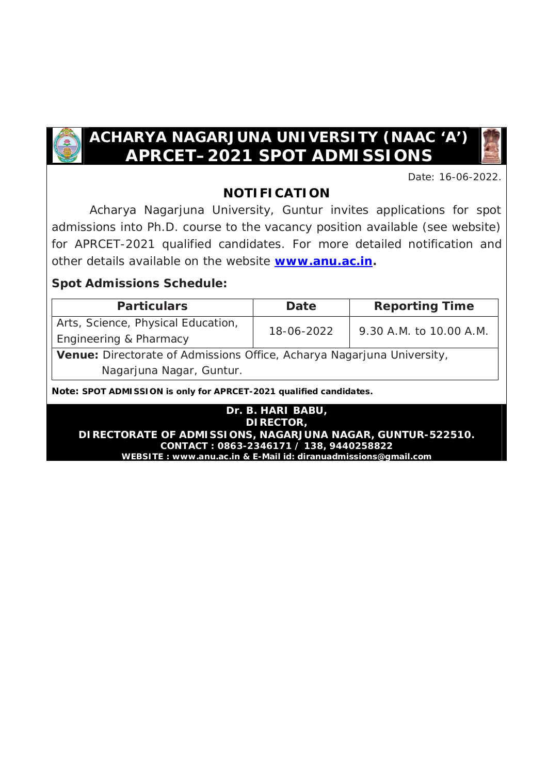

# **ACHARYA NAGARJUNA UNIVERSITY (NAAC 'A') APRCET–2021 SPOT ADMISSIONS**

Date: 16-06-2022.

# **NOTIFICATION**

 Acharya Nagarjuna University, Guntur invites applications for spot admissions into Ph.D. course to the vacancy position available (see website) for APRCET-2021 qualified candidates. For more detailed notification and other details available on the website **[www.anu.ac.in.](http://www.anu.ac.in.)**

### **Spot Admissions Schedule:**

| <b>Particulars</b>                                                     | Date       | <b>Reporting Time</b>   |  |  |  |  |
|------------------------------------------------------------------------|------------|-------------------------|--|--|--|--|
| Arts, Science, Physical Education,                                     | 18-06-2022 | 9.30 A.M. to 10.00 A.M. |  |  |  |  |
| Engineering & Pharmacy                                                 |            |                         |  |  |  |  |
| Venue: Directorate of Admissions Office, Acharya Nagarjuna University, |            |                         |  |  |  |  |
| Nagarjuna Nagar, Guntur.                                               |            |                         |  |  |  |  |

**Note: SPOT ADMISSION is only for APRCET-2021 qualified candidates.**

**Dr. B. HARI BABU, DIRECTOR, DIRECTORATE OF ADMISSIONS, NAGARJUNA NAGAR, GUNTUR-522510. CONTACT : 0863-2346171 / 138, 9440258822 WEBSITE : [www.anu.ac.in](http://www.anu.ac.in) & E-Mail id: [diranuadmissions@gmail.com](mailto:diranuadmissions@gmail.com)**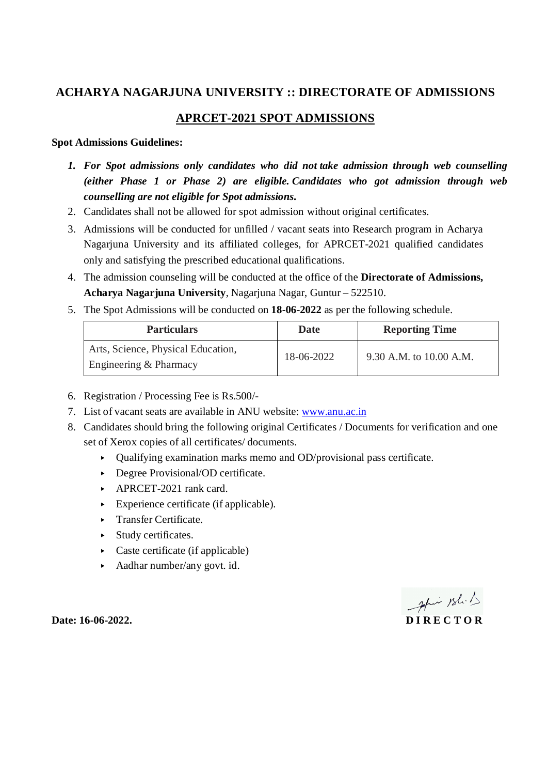### **ACHARYA NAGARJUNA UNIVERSITY :: DIRECTORATE OF ADMISSIONS**

### **APRCET-2021 SPOT ADMISSIONS**

### **Spot Admissions Guidelines:**

- *1. For Spot admissions only candidates who did not take admission through web counselling (either Phase 1 or Phase 2) are eligible. Candidates who got admission through web counselling are not eligible for Spot admissions.*
- 2. Candidates shall not be allowed for spot admission without original certificates.
- 3. Admissions will be conducted for unfilled / vacant seats into Research program in Acharya Nagarjuna University and its affiliated colleges, for APRCET-2021 qualified candidates only and satisfying the prescribed educational qualifications.
- 4. The admission counseling will be conducted at the office of the **Directorate of Admissions, Acharya Nagarjuna University**, Nagarjuna Nagar, Guntur – 522510.
- 5. The Spot Admissions will be conducted on **18-06-2022** as per the following schedule.

| <b>Particulars</b>                                           | <b>Date</b> | <b>Reporting Time</b>   |
|--------------------------------------------------------------|-------------|-------------------------|
| Arts, Science, Physical Education,<br>Engineering & Pharmacy | 18-06-2022  | 9.30 A.M. to 10.00 A.M. |

- 6. Registration / Processing Fee is Rs.500/-
- 7. List of vacant seats are available in ANU website: [www.anu.ac.in](http://www.anu.ac.in)
- 8. Candidates should bring the following original Certificates / Documents for verification and one set of Xerox copies of all certificates/ documents.
	- ▸ Qualifying examination marks memo and OD/provisional pass certificate.
	- ▸ Degree Provisional/OD certificate.
	- ▸ APRCET-2021 rank card.
	- $\triangleright$  Experience certificate (if applicable).
	- ▸ Transfer Certificate.
	- ▸ Study certificates.
	- $\triangleright$  Caste certificate (if applicable)
	- ▸ Aadhar number/any govt. id.

April 18h.1 **Date: 16-06-2022. D I R E C T O R**